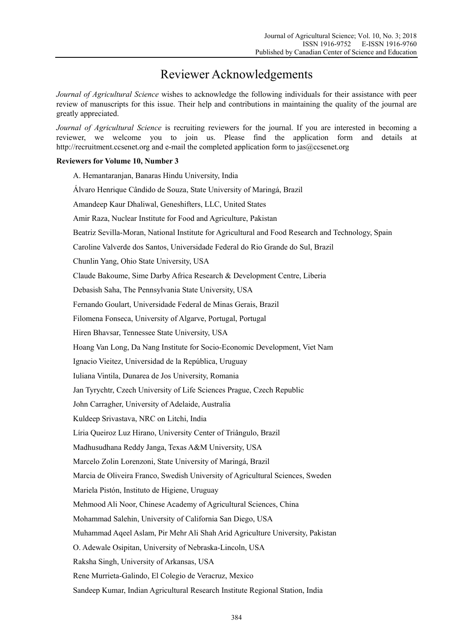## Reviewer Acknowledgements

*Journal of Agricultural Science* wishes to acknowledge the following individuals for their assistance with peer review of manuscripts for this issue. Their help and contributions in maintaining the quality of the journal are greatly appreciated.

*Journal of Agricultural Science* is recruiting reviewers for the journal. If you are interested in becoming a reviewer, we welcome you to join us. Please find the application form and details at http://recruitment.ccsenet.org and e-mail the completed application form to jas@ccsenet.org

## **Reviewers for Volume 10, Number 3**

| A. Hemantaranjan, Banaras Hindu University, India                                                  |
|----------------------------------------------------------------------------------------------------|
| Álvaro Henrique Cândido de Souza, State University of Maringá, Brazil                              |
| Amandeep Kaur Dhaliwal, Geneshifters, LLC, United States                                           |
| Amir Raza, Nuclear Institute for Food and Agriculture, Pakistan                                    |
| Beatriz Sevilla-Moran, National Institute for Agricultural and Food Research and Technology, Spain |
| Caroline Valverde dos Santos, Universidade Federal do Rio Grande do Sul, Brazil                    |
| Chunlin Yang, Ohio State University, USA                                                           |
| Claude Bakoume, Sime Darby Africa Research & Development Centre, Liberia                           |
| Debasish Saha, The Pennsylvania State University, USA                                              |
| Fernando Goulart, Universidade Federal de Minas Gerais, Brazil                                     |
| Filomena Fonseca, University of Algarve, Portugal, Portugal                                        |
| Hiren Bhavsar, Tennessee State University, USA                                                     |
| Hoang Van Long, Da Nang Institute for Socio-Economic Development, Viet Nam                         |
| Ignacio Vieitez, Universidad de la República, Uruguay                                              |
| Iuliana Vintila, Dunarea de Jos University, Romania                                                |
| Jan Tyrychtr, Czech University of Life Sciences Prague, Czech Republic                             |
| John Carragher, University of Adelaide, Australia                                                  |
| Kuldeep Srivastava, NRC on Litchi, India                                                           |
| Líria Queiroz Luz Hirano, University Center of Triângulo, Brazil                                   |
| Madhusudhana Reddy Janga, Texas A&M University, USA                                                |
| Marcelo Zolin Lorenzoni, State University of Maringá, Brazil                                       |
| Marcia de Oliveira Franco, Swedish University of Agricultural Sciences, Sweden                     |
| Mariela Pistón, Instituto de Higiene, Uruguay                                                      |
| Mehmood Ali Noor, Chinese Academy of Agricultural Sciences, China                                  |
| Mohammad Salehin, University of California San Diego, USA                                          |
| Muhammad Aqeel Aslam, Pir Mehr Ali Shah Arid Agriculture University, Pakistan                      |
| O. Adewale Osipitan, University of Nebraska-Lincoln, USA                                           |
| Raksha Singh, University of Arkansas, USA                                                          |
| Rene Murrieta-Galindo, El Colegio de Veracruz, Mexico                                              |
| Sandeep Kumar, Indian Agricultural Research Institute Regional Station, India                      |